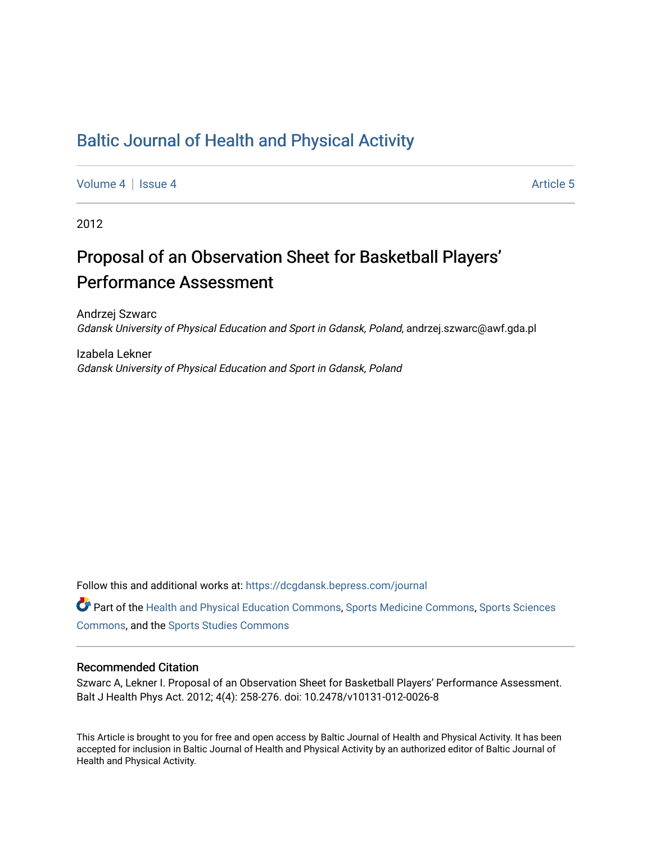## [Baltic Journal of Health and Physical Activity](https://dcgdansk.bepress.com/journal)

[Volume 4](https://dcgdansk.bepress.com/journal/vol4) | [Issue 4](https://dcgdansk.bepress.com/journal/vol4/iss4) Article 5

2012

# Proposal of an Observation Sheet for Basketball Players' Performance Assessment

Andrzej Szwarc Gdansk University of Physical Education and Sport in Gdansk, Poland, andrzej.szwarc@awf.gda.pl

Izabela Lekner Gdansk University of Physical Education and Sport in Gdansk, Poland

Follow this and additional works at: [https://dcgdansk.bepress.com/journal](https://dcgdansk.bepress.com/journal?utm_source=dcgdansk.bepress.com%2Fjournal%2Fvol4%2Fiss4%2F5&utm_medium=PDF&utm_campaign=PDFCoverPages)

Part of the [Health and Physical Education Commons](http://network.bepress.com/hgg/discipline/1327?utm_source=dcgdansk.bepress.com%2Fjournal%2Fvol4%2Fiss4%2F5&utm_medium=PDF&utm_campaign=PDFCoverPages), [Sports Medicine Commons,](http://network.bepress.com/hgg/discipline/1331?utm_source=dcgdansk.bepress.com%2Fjournal%2Fvol4%2Fiss4%2F5&utm_medium=PDF&utm_campaign=PDFCoverPages) [Sports Sciences](http://network.bepress.com/hgg/discipline/759?utm_source=dcgdansk.bepress.com%2Fjournal%2Fvol4%2Fiss4%2F5&utm_medium=PDF&utm_campaign=PDFCoverPages) [Commons](http://network.bepress.com/hgg/discipline/759?utm_source=dcgdansk.bepress.com%2Fjournal%2Fvol4%2Fiss4%2F5&utm_medium=PDF&utm_campaign=PDFCoverPages), and the [Sports Studies Commons](http://network.bepress.com/hgg/discipline/1198?utm_source=dcgdansk.bepress.com%2Fjournal%2Fvol4%2Fiss4%2F5&utm_medium=PDF&utm_campaign=PDFCoverPages) 

#### Recommended Citation

Szwarc A, Lekner I. Proposal of an Observation Sheet for Basketball Players' Performance Assessment. Balt J Health Phys Act. 2012; 4(4): 258-276. doi: 10.2478/v10131-012-0026-8

This Article is brought to you for free and open access by Baltic Journal of Health and Physical Activity. It has been accepted for inclusion in Baltic Journal of Health and Physical Activity by an authorized editor of Baltic Journal of Health and Physical Activity.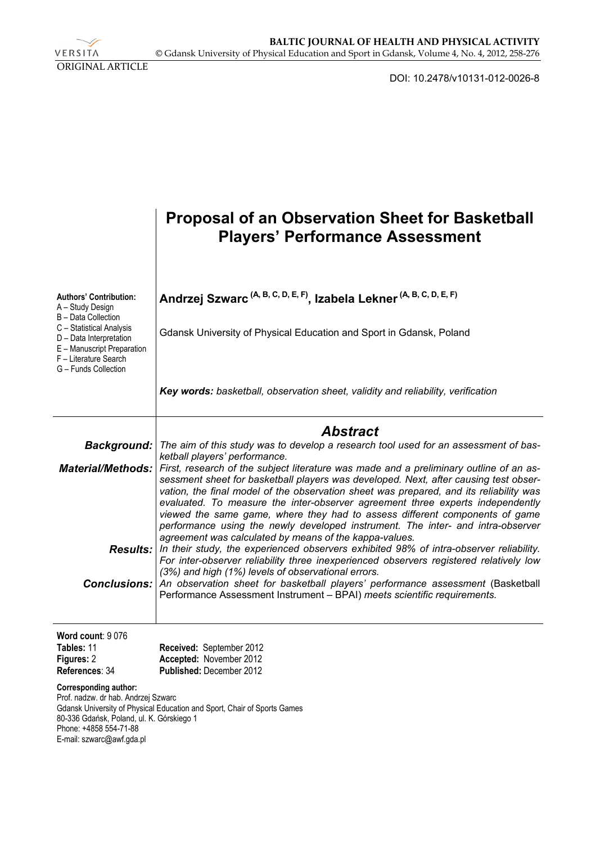VERSITA ORIGINAL ARTICLE

DOI: 10.2478/v10131-012-0026-8

|                                                                                                                                                                         | <b>Proposal of an Observation Sheet for Basketball</b><br><b>Players' Performance Assessment</b>                                                                                                                                                                                                                                                                                                                                                                                                                                                                                                                        |
|-------------------------------------------------------------------------------------------------------------------------------------------------------------------------|-------------------------------------------------------------------------------------------------------------------------------------------------------------------------------------------------------------------------------------------------------------------------------------------------------------------------------------------------------------------------------------------------------------------------------------------------------------------------------------------------------------------------------------------------------------------------------------------------------------------------|
| <b>Authors' Contribution:</b><br>A - Study Design<br>B - Data Collection                                                                                                | Andrzej Szwarc <sup>(A, B, C, D, E, F)</sup> , Izabela Lekner <sup>(A, B, C, D, E, F)</sup>                                                                                                                                                                                                                                                                                                                                                                                                                                                                                                                             |
| C - Statistical Analysis<br>D - Data Interpretation<br>E - Manuscript Preparation<br>F - Literature Search<br>G - Funds Collection                                      | Gdansk University of Physical Education and Sport in Gdansk, Poland                                                                                                                                                                                                                                                                                                                                                                                                                                                                                                                                                     |
|                                                                                                                                                                         | Key words: basketball, observation sheet, validity and reliability, verification                                                                                                                                                                                                                                                                                                                                                                                                                                                                                                                                        |
|                                                                                                                                                                         | <b>Abstract</b>                                                                                                                                                                                                                                                                                                                                                                                                                                                                                                                                                                                                         |
| Background:                                                                                                                                                             | The aim of this study was to develop a research tool used for an assessment of bas-                                                                                                                                                                                                                                                                                                                                                                                                                                                                                                                                     |
| <b>Material/Methods:</b>                                                                                                                                                | ketball players' performance.<br>First, research of the subject literature was made and a preliminary outline of an as-<br>sessment sheet for basketball players was developed. Next, after causing test obser-<br>vation, the final model of the observation sheet was prepared, and its reliability was<br>evaluated. To measure the inter-observer agreement three experts independently<br>viewed the same game, where they had to assess different components of game<br>performance using the newly developed instrument. The inter- and intra-observer<br>agreement was calculated by means of the kappa-values. |
|                                                                                                                                                                         | <b>Results:</b> In their study, the experienced observers exhibited 98% of intra-observer reliability.<br>For inter-observer reliability three inexperienced observers registered relatively low<br>(3%) and high (1%) levels of observational errors.                                                                                                                                                                                                                                                                                                                                                                  |
| Conclusions:                                                                                                                                                            | An observation sheet for basketball players' performance assessment (Basketball<br>Performance Assessment Instrument - BPAI) meets scientific requirements.                                                                                                                                                                                                                                                                                                                                                                                                                                                             |
| Word count: 9076                                                                                                                                                        |                                                                                                                                                                                                                                                                                                                                                                                                                                                                                                                                                                                                                         |
| Tables: 11<br>Figures: 2                                                                                                                                                | Received: September 2012<br>Accepted: November 2012                                                                                                                                                                                                                                                                                                                                                                                                                                                                                                                                                                     |
| References: 34                                                                                                                                                          | Published: December 2012                                                                                                                                                                                                                                                                                                                                                                                                                                                                                                                                                                                                |
| <b>Corresponding author:</b><br>Prof. nadzw. dr hab. Andrzej Szwarc<br>80-336 Gdańsk, Poland, ul. K. Górskiego 1<br>Phone: +4858 554-71-88<br>E-mail: szwarc@awf.gda.pl | Gdansk University of Physical Education and Sport, Chair of Sports Games                                                                                                                                                                                                                                                                                                                                                                                                                                                                                                                                                |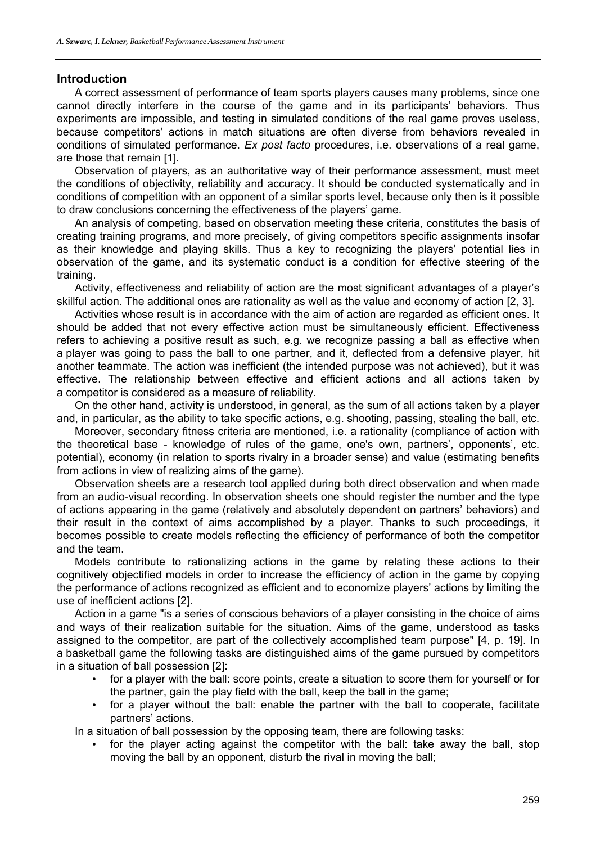#### **Introduction**

A correct assessment of performance of team sports players causes many problems, since one cannot directly interfere in the course of the game and in its participants' behaviors. Thus experiments are impossible, and testing in simulated conditions of the real game proves useless, because competitors' actions in match situations are often diverse from behaviors revealed in conditions of simulated performance. *Ex post facto* procedures, i.e. observations of a real game, are those that remain [1].

Observation of players, as an authoritative way of their performance assessment, must meet the conditions of objectivity, reliability and accuracy. It should be conducted systematically and in conditions of competition with an opponent of a similar sports level, because only then is it possible to draw conclusions concerning the effectiveness of the players' game.

An analysis of competing, based on observation meeting these criteria, constitutes the basis of creating training programs, and more precisely, of giving competitors specific assignments insofar as their knowledge and playing skills. Thus a key to recognizing the players' potential lies in observation of the game, and its systematic conduct is a condition for effective steering of the training.

Activity, effectiveness and reliability of action are the most significant advantages of a player's skillful action. The additional ones are rationality as well as the value and economy of action [2, 3].

Activities whose result is in accordance with the aim of action are regarded as efficient ones. It should be added that not every effective action must be simultaneously efficient. Effectiveness refers to achieving a positive result as such, e.g. we recognize passing a ball as effective when a player was going to pass the ball to one partner, and it, deflected from a defensive player, hit another teammate. The action was inefficient (the intended purpose was not achieved), but it was effective. The relationship between effective and efficient actions and all actions taken by a competitor is considered as a measure of reliability.

On the other hand, activity is understood, in general, as the sum of all actions taken by a player and, in particular, as the ability to take specific actions, e.g. shooting, passing, stealing the ball, etc.

Moreover, secondary fitness criteria are mentioned, i.e. a rationality (compliance of action with the theoretical base - knowledge of rules of the game, one's own, partners', opponents', etc. potential), economy (in relation to sports rivalry in a broader sense) and value (estimating benefits from actions in view of realizing aims of the game).

Observation sheets are a research tool applied during both direct observation and when made from an audio-visual recording. In observation sheets one should register the number and the type of actions appearing in the game (relatively and absolutely dependent on partners' behaviors) and their result in the context of aims accomplished by a player. Thanks to such proceedings, it becomes possible to create models reflecting the efficiency of performance of both the competitor and the team.

Models contribute to rationalizing actions in the game by relating these actions to their cognitively objectified models in order to increase the efficiency of action in the game by copying the performance of actions recognized as efficient and to economize players' actions by limiting the use of inefficient actions [2].

Action in a game "is a series of conscious behaviors of a player consisting in the choice of aims and ways of their realization suitable for the situation. Aims of the game, understood as tasks assigned to the competitor, are part of the collectively accomplished team purpose" [4, p. 19]. In a basketball game the following tasks are distinguished aims of the game pursued by competitors in a situation of ball possession [2]:

- for a player with the ball: score points, create a situation to score them for yourself or for the partner, gain the play field with the ball, keep the ball in the game;
- for a player without the ball: enable the partner with the ball to cooperate, facilitate partners' actions.

In a situation of ball possession by the opposing team, there are following tasks:

for the player acting against the competitor with the ball: take away the ball, stop moving the ball by an opponent, disturb the rival in moving the ball;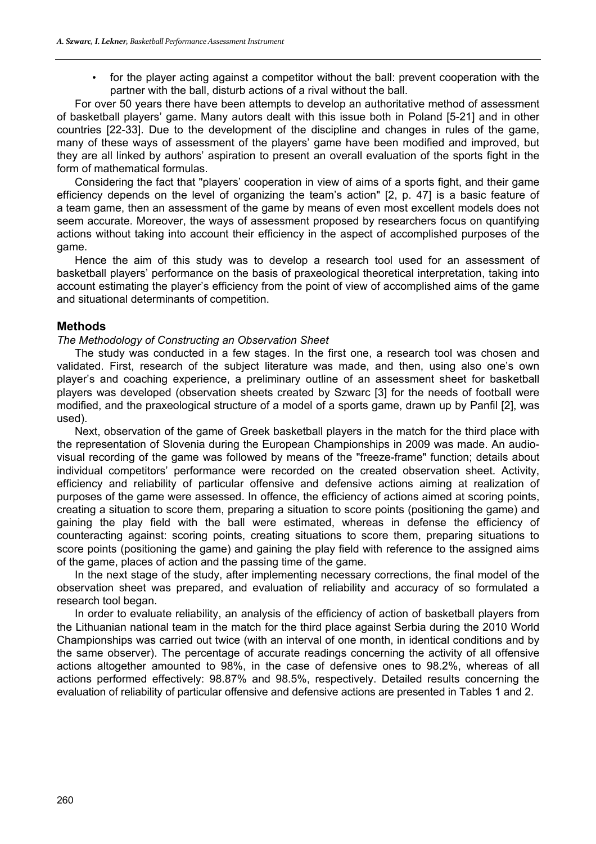for the player acting against a competitor without the ball: prevent cooperation with the partner with the ball, disturb actions of a rival without the ball.

For over 50 years there have been attempts to develop an authoritative method of assessment of basketball players' game. Many autors dealt with this issue both in Poland [5-21] and in other countries [22-33]. Due to the development of the discipline and changes in rules of the game, many of these ways of assessment of the players' game have been modified and improved, but they are all linked by authors' aspiration to present an overall evaluation of the sports fight in the form of mathematical formulas.

Considering the fact that "players' cooperation in view of aims of a sports fight, and their game efficiency depends on the level of organizing the team's action" [2, p. 47] is a basic feature of a team game, then an assessment of the game by means of even most excellent models does not seem accurate. Moreover, the ways of assessment proposed by researchers focus on quantifying actions without taking into account their efficiency in the aspect of accomplished purposes of the game.

Hence the aim of this study was to develop a research tool used for an assessment of basketball players' performance on the basis of praxeological theoretical interpretation, taking into account estimating the player's efficiency from the point of view of accomplished aims of the game and situational determinants of competition.

#### **Methods**

#### *The Methodology of Constructing an Observation Sheet*

The study was conducted in a few stages. In the first one, a research tool was chosen and validated. First, research of the subject literature was made, and then, using also one's own player's and coaching experience, a preliminary outline of an assessment sheet for basketball players was developed (observation sheets created by Szwarc [3] for the needs of football were modified, and the praxeological structure of a model of a sports game, drawn up by Panfil [2], was used).

Next, observation of the game of Greek basketball players in the match for the third place with the representation of Slovenia during the European Championships in 2009 was made. An audiovisual recording of the game was followed by means of the "freeze-frame" function; details about individual competitors' performance were recorded on the created observation sheet. Activity, efficiency and reliability of particular offensive and defensive actions aiming at realization of purposes of the game were assessed. In offence, the efficiency of actions aimed at scoring points, creating a situation to score them, preparing a situation to score points (positioning the game) and gaining the play field with the ball were estimated, whereas in defense the efficiency of counteracting against: scoring points, creating situations to score them, preparing situations to score points (positioning the game) and gaining the play field with reference to the assigned aims of the game, places of action and the passing time of the game.

In the next stage of the study, after implementing necessary corrections, the final model of the observation sheet was prepared, and evaluation of reliability and accuracy of so formulated a research tool began.

In order to evaluate reliability, an analysis of the efficiency of action of basketball players from the Lithuanian national team in the match for the third place against Serbia during the 2010 World Championships was carried out twice (with an interval of one month, in identical conditions and by the same observer). The percentage of accurate readings concerning the activity of all offensive actions altogether amounted to 98%, in the case of defensive ones to 98.2%, whereas of all actions performed effectively: 98.87% and 98.5%, respectively. Detailed results concerning the evaluation of reliability of particular offensive and defensive actions are presented in Tables 1 and 2.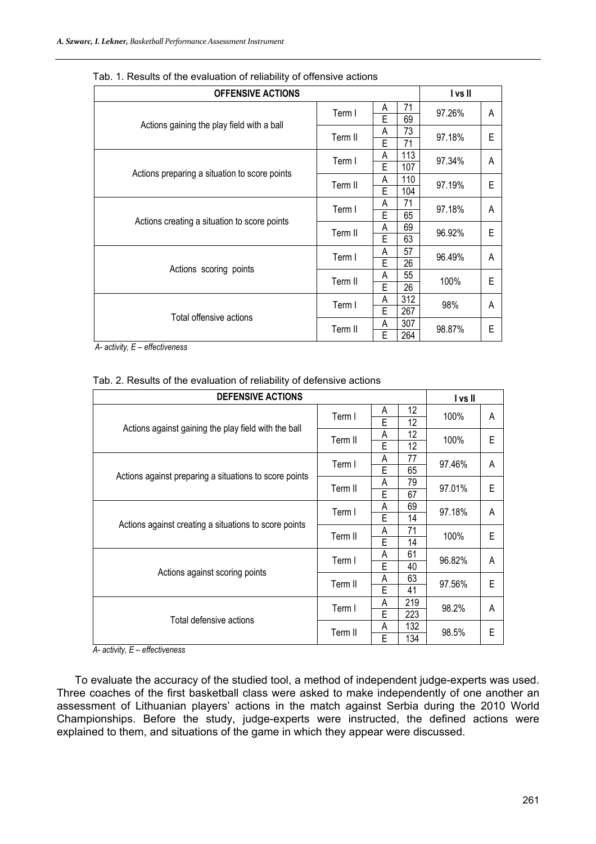| <b>OFFENSIVE ACTIONS</b>                      |                                 |        |                       | I vs II |   |
|-----------------------------------------------|---------------------------------|--------|-----------------------|---------|---|
|                                               | Term I                          | A<br>E | 71<br>69              | 97.26%  | A |
| Actions gaining the play field with a ball    | Term II                         | A<br>E | 73<br>71              | 97.18%  | E |
|                                               | Term I                          | A<br>E | 113<br>107            | 97.34%  | A |
| Actions preparing a situation to score points | Term II                         | A<br>E | 110<br>104            | 97.19%  | E |
|                                               | Term I                          | А<br>E | 71<br>65              | 97.18%  | A |
| Actions creating a situation to score points  | Term II                         | A<br>E | 69<br>63              | 96.92%  | E |
|                                               | 57<br>А<br>Term I<br>E<br>26    |        |                       |         | A |
| Actions scoring points                        | Term II                         | A<br>Ē | 55<br>$\overline{26}$ | 100%    | E |
|                                               | Term I                          | Α<br>E | 312<br>267            | 98%     | A |
| Total offensive actions                       | 307<br>A<br>Term II<br>264<br>E |        | 98.87%                | E       |   |

Tab. 1. Results of the evaluation of reliability of offensive actions

 *A- activity, E – effectiveness* 

| Tab. 2. Results of the evaluation of reliability of defensive actions |
|-----------------------------------------------------------------------|
|-----------------------------------------------------------------------|

| <b>DEFENSIVE ACTIONS</b>                               |         |   |     | I vs II |   |
|--------------------------------------------------------|---------|---|-----|---------|---|
|                                                        | Term I  | Α | 12  | 100%    | A |
| Actions against gaining the play field with the ball   |         | E | 12  |         |   |
|                                                        | Term II | A | 12  | 100%    | E |
|                                                        |         | E | 12  |         |   |
|                                                        | Term I  | Α | 77  | 97.46%  | A |
| Actions against preparing a situations to score points |         | E | 65  |         |   |
|                                                        | Term II | A | 79  | 97.01%  | E |
|                                                        |         | E | 67  |         |   |
|                                                        | Term I  | Α | 69  | 97.18%  | A |
| Actions against creating a situations to score points  |         | E | 14  |         |   |
|                                                        | Term II | A | 71  | 100%    | Е |
|                                                        |         | Ē | 14  |         |   |
|                                                        | Term I  | Α | 61  | 96.82%  | A |
| Actions against scoring points                         |         | E | 40  |         |   |
|                                                        | Term II | A | 63  | 97.56%  | E |
|                                                        |         | E | 41  |         |   |
|                                                        | Term I  | A | 219 | 98.2%   | A |
| Total defensive actions                                |         | E | 223 |         |   |
|                                                        | Term II | A | 132 | 98.5%   | E |
|                                                        |         | E | 134 |         |   |

*A- activity, E – effectiveness* 

To evaluate the accuracy of the studied tool, a method of independent judge-experts was used. Three coaches of the first basketball class were asked to make independently of one another an assessment of Lithuanian players' actions in the match against Serbia during the 2010 World Championships. Before the study, judge-experts were instructed, the defined actions were explained to them, and situations of the game in which they appear were discussed.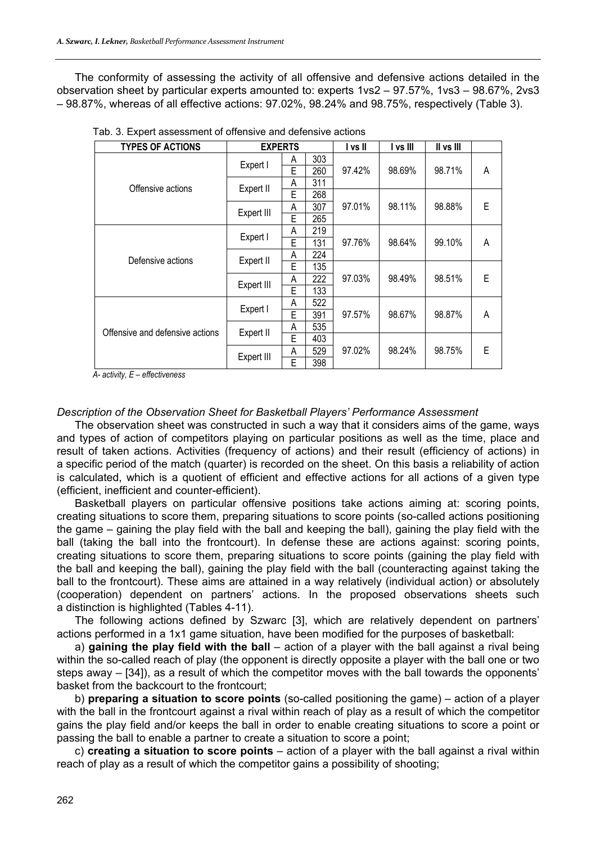The conformity of assessing the activity of all offensive and defensive actions detailed in the observation sheet by particular experts amounted to: experts 1vs2 – 97.57%, 1vs3 – 98.67%, 2vs3 – 98.87%, whereas of all effective actions: 97.02%, 98.24% and 98.75%, respectively (Table 3).

| <b>TYPES OF ACTIONS</b>         | <b>EXPERTS</b> |   |     | l vs II | I vs III | II vs III |   |
|---------------------------------|----------------|---|-----|---------|----------|-----------|---|
|                                 | Expert I       | A | 303 |         |          |           |   |
|                                 |                | E | 260 | 97.42%  | 98.69%   | 98.71%    | Α |
| Offensive actions               | Expert II      | Α | 311 |         |          |           |   |
|                                 |                | E | 268 |         |          |           |   |
|                                 | Expert III     | A | 307 | 97.01%  | 98.11%   | 98.88%    | E |
|                                 |                | E | 265 |         |          |           |   |
|                                 | Expert I       | Α | 219 |         |          |           |   |
|                                 |                | E | 131 | 97.76%  | 98.64%   | 99.10%    | Α |
| Defensive actions               | Expert II      | Α | 224 |         |          |           |   |
|                                 |                | E | 135 |         |          |           |   |
|                                 | Expert III     | Α | 222 | 97.03%  | 98.49%   | 98.51%    | E |
|                                 |                | E | 133 |         |          |           |   |
|                                 | Expert I       | Α | 522 |         |          |           |   |
|                                 |                | E | 391 | 97.57%  | 98.67%   | 98.87%    | Α |
| Offensive and defensive actions | Expert II      | Α | 535 |         |          |           |   |
|                                 |                | E | 403 |         |          |           |   |
|                                 | Expert III     | Α | 529 | 97.02%  | 98.24%   | 98.75%    | E |
|                                 |                | E | 398 |         |          |           |   |

Tab. 3. Expert assessment of offensive and defensive actions

*A- activity, E – effectiveness* 

#### *Description of the Observation Sheet for Basketball Players' Performance Assessment*

The observation sheet was constructed in such a way that it considers aims of the game, ways and types of action of competitors playing on particular positions as well as the time, place and result of taken actions. Activities (frequency of actions) and their result (efficiency of actions) in a specific period of the match (quarter) is recorded on the sheet. On this basis a reliability of action is calculated, which is a quotient of efficient and effective actions for all actions of a given type (efficient, inefficient and counter-efficient).

Basketball players on particular offensive positions take actions aiming at: scoring points, creating situations to score them, preparing situations to score points (so-called actions positioning the game – gaining the play field with the ball and keeping the ball), gaining the play field with the ball (taking the ball into the frontcourt). In defense these are actions against: scoring points, creating situations to score them, preparing situations to score points (gaining the play field with the ball and keeping the ball), gaining the play field with the ball (counteracting against taking the ball to the frontcourt). These aims are attained in a way relatively (individual action) or absolutely (cooperation) dependent on partners' actions. In the proposed observations sheets such a distinction is highlighted (Tables 4-11).

The following actions defined by Szwarc [3], which are relatively dependent on partners' actions performed in a 1x1 game situation, have been modified for the purposes of basketball:

a) **gaining the play field with the ball** – action of a player with the ball against a rival being within the so-called reach of play (the opponent is directly opposite a player with the ball one or two steps away – [34]), as a result of which the competitor moves with the ball towards the opponents' basket from the backcourt to the frontcourt;

b) **preparing a situation to score points** (so-called positioning the game) – action of a player with the ball in the frontcourt against a rival within reach of play as a result of which the competitor gains the play field and/or keeps the ball in order to enable creating situations to score a point or passing the ball to enable a partner to create a situation to score a point;

c) **creating a situation to score points** – action of a player with the ball against a rival within reach of play as a result of which the competitor gains a possibility of shooting;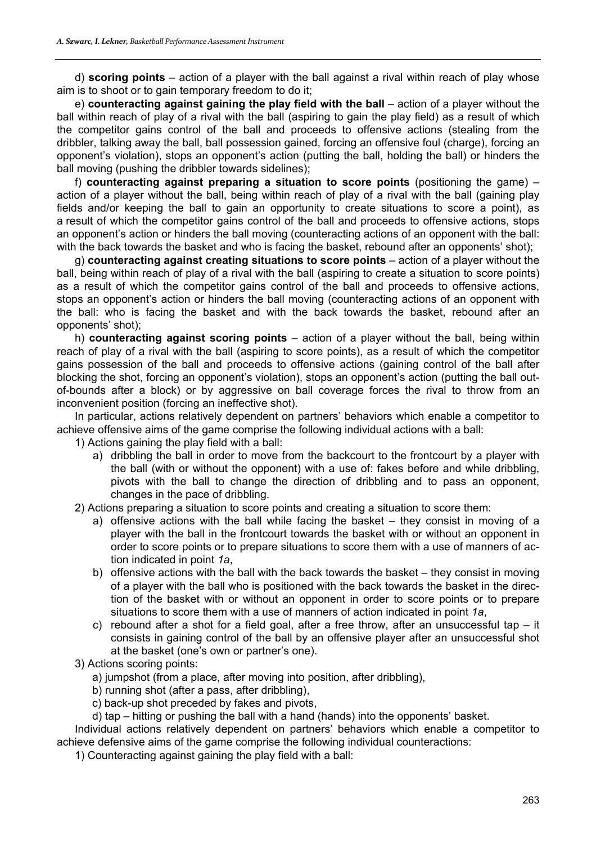d) **scoring points** – action of a player with the ball against a rival within reach of play whose aim is to shoot or to gain temporary freedom to do it;

e) **counteracting against gaining the play field with the ball** – action of a player without the ball within reach of play of a rival with the ball (aspiring to gain the play field) as a result of which the competitor gains control of the ball and proceeds to offensive actions (stealing from the dribbler, talking away the ball, ball possession gained, forcing an offensive foul (charge), forcing an opponent's violation), stops an opponent's action (putting the ball, holding the ball) or hinders the ball moving (pushing the dribbler towards sidelines);

f) **counteracting against preparing a situation to score points** (positioning the game) – action of a player without the ball, being within reach of play of a rival with the ball (gaining play fields and/or keeping the ball to gain an opportunity to create situations to score a point), as a result of which the competitor gains control of the ball and proceeds to offensive actions, stops an opponent's action or hinders the ball moving (counteracting actions of an opponent with the ball: with the back towards the basket and who is facing the basket, rebound after an opponents' shot);

g) **counteracting against creating situations to score points** – action of a player without the ball, being within reach of play of a rival with the ball (aspiring to create a situation to score points) as a result of which the competitor gains control of the ball and proceeds to offensive actions, stops an opponent's action or hinders the ball moving (counteracting actions of an opponent with the ball: who is facing the basket and with the back towards the basket, rebound after an opponents' shot);

h) **counteracting against scoring points** – action of a player without the ball, being within reach of play of a rival with the ball (aspiring to score points), as a result of which the competitor gains possession of the ball and proceeds to offensive actions (gaining control of the ball after blocking the shot, forcing an opponent's violation), stops an opponent's action (putting the ball outof-bounds after a block) or by aggressive on ball coverage forces the rival to throw from an inconvenient position (forcing an ineffective shot).

In particular, actions relatively dependent on partners' behaviors which enable a competitor to achieve offensive aims of the game comprise the following individual actions with a ball:

1) Actions gaining the play field with a ball:

- a) dribbling the ball in order to move from the backcourt to the frontcourt by a player with the ball (with or without the opponent) with a use of: fakes before and while dribbling, pivots with the ball to change the direction of dribbling and to pass an opponent, changes in the pace of dribbling.
- 2) Actions preparing a situation to score points and creating a situation to score them:
	- a) offensive actions with the ball while facing the basket they consist in moving of a player with the ball in the frontcourt towards the basket with or without an opponent in order to score points or to prepare situations to score them with a use of manners of action indicated in point *1a*,
	- b) offensive actions with the ball with the back towards the basket they consist in moving of a player with the ball who is positioned with the back towards the basket in the direction of the basket with or without an opponent in order to score points or to prepare situations to score them with a use of manners of action indicated in point *1a*,
	- c) rebound after a shot for a field goal, after a free throw, after an unsuccessful tap it consists in gaining control of the ball by an offensive player after an unsuccessful shot at the basket (one's own or partner's one).
- 3) Actions scoring points:
	- a) jumpshot (from a place, after moving into position, after dribbling),
	- b) running shot (after a pass, after dribbling),
	- c) back-up shot preceded by fakes and pivots,
- d) tap hitting or pushing the ball with a hand (hands) into the opponents' basket.

Individual actions relatively dependent on partners' behaviors which enable a competitor to achieve defensive aims of the game comprise the following individual counteractions:

1) Counteracting against gaining the play field with a ball: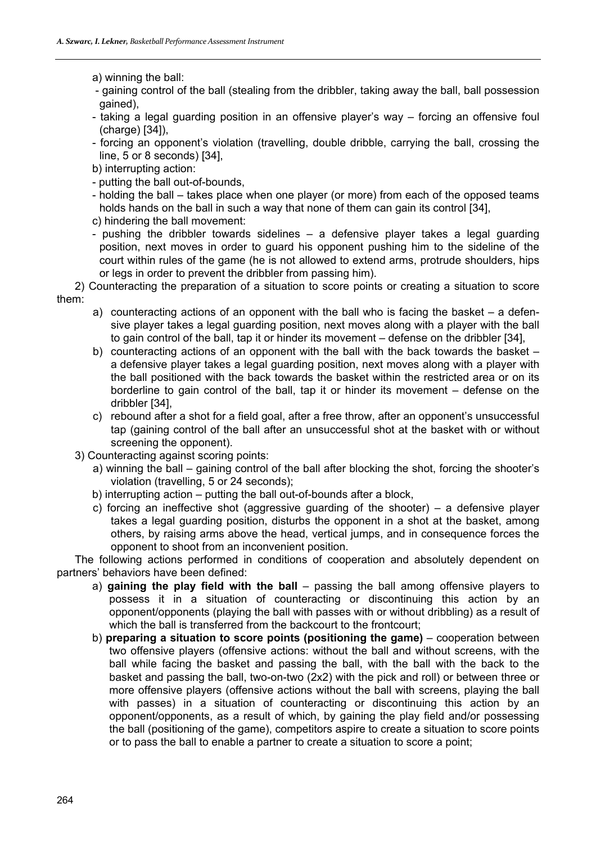a) winning the ball:

- gaining control of the ball (stealing from the dribbler, taking away the ball, ball possession gained),
- taking a legal guarding position in an offensive player's way forcing an offensive foul (charge) [34]),
- forcing an opponent's violation (travelling, double dribble, carrying the ball, crossing the line, 5 or 8 seconds) [34],
- b) interrupting action:
- putting the ball out-of-bounds,
- holding the ball takes place when one player (or more) from each of the opposed teams holds hands on the ball in such a way that none of them can gain its control [34],
- c) hindering the ball movement:
- pushing the dribbler towards sidelines a defensive player takes a legal guarding position, next moves in order to guard his opponent pushing him to the sideline of the court within rules of the game (he is not allowed to extend arms, protrude shoulders, hips or legs in order to prevent the dribbler from passing him).

2) Counteracting the preparation of a situation to score points or creating a situation to score them:

- a) counteracting actions of an opponent with the ball who is facing the basket a defensive player takes a legal guarding position, next moves along with a player with the ball to gain control of the ball, tap it or hinder its movement – defense on the dribbler [34],
- b) counteracting actions of an opponent with the ball with the back towards the basket a defensive player takes a legal guarding position, next moves along with a player with the ball positioned with the back towards the basket within the restricted area or on its borderline to gain control of the ball, tap it or hinder its movement – defense on the dribbler [34],
- c) rebound after a shot for a field goal, after a free throw, after an opponent's unsuccessful tap (gaining control of the ball after an unsuccessful shot at the basket with or without screening the opponent).
- 3) Counteracting against scoring points:
	- a) winning the ball gaining control of the ball after blocking the shot, forcing the shooter's violation (travelling, 5 or 24 seconds);
	- b) interrupting action putting the ball out-of-bounds after a block,
	- c) forcing an ineffective shot (aggressive guarding of the shooter) a defensive player takes a legal guarding position, disturbs the opponent in a shot at the basket, among others, by raising arms above the head, vertical jumps, and in consequence forces the opponent to shoot from an inconvenient position.

The following actions performed in conditions of cooperation and absolutely dependent on partners' behaviors have been defined:

- a) **gaining the play field with the ball** passing the ball among offensive players to possess it in a situation of counteracting or discontinuing this action by an opponent/opponents (playing the ball with passes with or without dribbling) as a result of which the ball is transferred from the backcourt to the frontcourt;
- b) **preparing a situation to score points (positioning the game)** cooperation between two offensive players (offensive actions: without the ball and without screens, with the ball while facing the basket and passing the ball, with the ball with the back to the basket and passing the ball, two-on-two (2x2) with the pick and roll) or between three or more offensive players (offensive actions without the ball with screens, playing the ball with passes) in a situation of counteracting or discontinuing this action by an opponent/opponents, as a result of which, by gaining the play field and/or possessing the ball (positioning of the game), competitors aspire to create a situation to score points or to pass the ball to enable a partner to create a situation to score a point;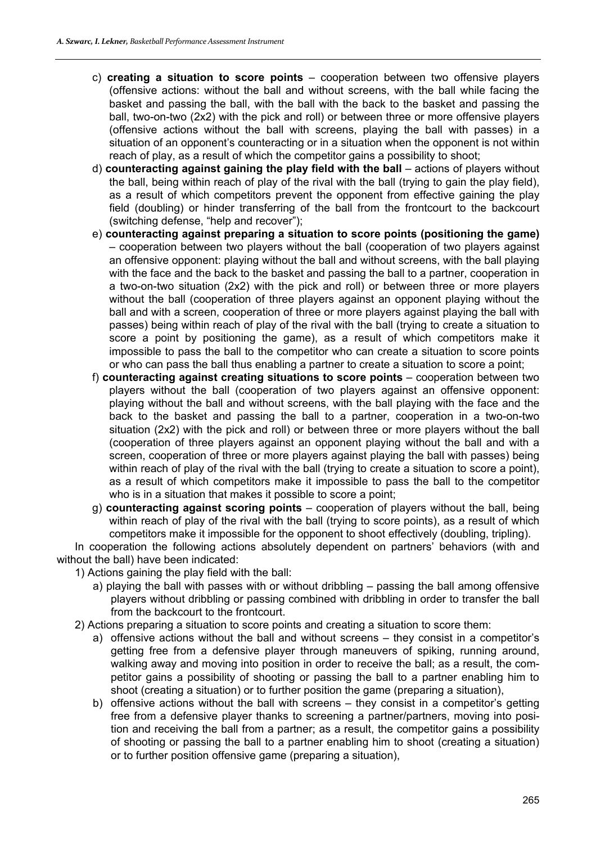- c) **creating a situation to score points** cooperation between two offensive players (offensive actions: without the ball and without screens, with the ball while facing the basket and passing the ball, with the ball with the back to the basket and passing the ball, two-on-two (2x2) with the pick and roll) or between three or more offensive players (offensive actions without the ball with screens, playing the ball with passes) in a situation of an opponent's counteracting or in a situation when the opponent is not within reach of play, as a result of which the competitor gains a possibility to shoot;
- d) **counteracting against gaining the play field with the ball** actions of players without the ball, being within reach of play of the rival with the ball (trying to gain the play field), as a result of which competitors prevent the opponent from effective gaining the play field (doubling) or hinder transferring of the ball from the frontcourt to the backcourt (switching defense, "help and recover");
- e) **counteracting against preparing a situation to score points (positioning the game)**  – cooperation between two players without the ball (cooperation of two players against an offensive opponent: playing without the ball and without screens, with the ball playing with the face and the back to the basket and passing the ball to a partner, cooperation in a two-on-two situation (2x2) with the pick and roll) or between three or more players without the ball (cooperation of three players against an opponent playing without the ball and with a screen, cooperation of three or more players against playing the ball with passes) being within reach of play of the rival with the ball (trying to create a situation to score a point by positioning the game), as a result of which competitors make it impossible to pass the ball to the competitor who can create a situation to score points or who can pass the ball thus enabling a partner to create a situation to score a point;
- f) **counteracting against creating situations to score points** cooperation between two players without the ball (cooperation of two players against an offensive opponent: playing without the ball and without screens, with the ball playing with the face and the back to the basket and passing the ball to a partner, cooperation in a two-on-two situation (2x2) with the pick and roll) or between three or more players without the ball (cooperation of three players against an opponent playing without the ball and with a screen, cooperation of three or more players against playing the ball with passes) being within reach of play of the rival with the ball (trying to create a situation to score a point), as a result of which competitors make it impossible to pass the ball to the competitor who is in a situation that makes it possible to score a point;
- g) **counteracting against scoring points** cooperation of players without the ball, being within reach of play of the rival with the ball (trying to score points), as a result of which competitors make it impossible for the opponent to shoot effectively (doubling, tripling).

In cooperation the following actions absolutely dependent on partners' behaviors (with and without the ball) have been indicated:

- 1) Actions gaining the play field with the ball:
	- a) playing the ball with passes with or without dribbling passing the ball among offensive players without dribbling or passing combined with dribbling in order to transfer the ball from the backcourt to the frontcourt.
- 2) Actions preparing a situation to score points and creating a situation to score them:
	- a) offensive actions without the ball and without screens they consist in a competitor's getting free from a defensive player through maneuvers of spiking, running around, walking away and moving into position in order to receive the ball; as a result, the competitor gains a possibility of shooting or passing the ball to a partner enabling him to shoot (creating a situation) or to further position the game (preparing a situation),
	- b) offensive actions without the ball with screens they consist in a competitor's getting free from a defensive player thanks to screening a partner/partners, moving into position and receiving the ball from a partner; as a result, the competitor gains a possibility of shooting or passing the ball to a partner enabling him to shoot (creating a situation) or to further position offensive game (preparing a situation),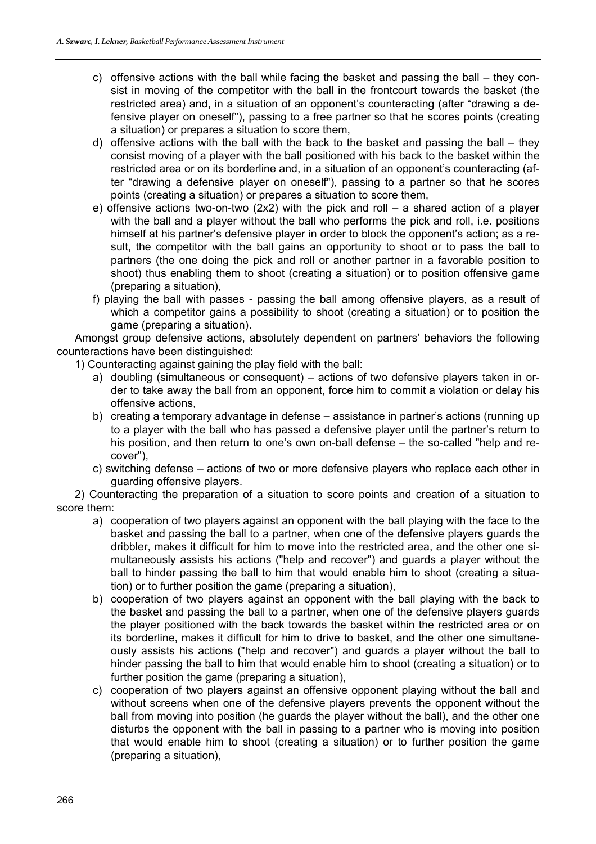- c) offensive actions with the ball while facing the basket and passing the ball they consist in moving of the competitor with the ball in the frontcourt towards the basket (the restricted area) and, in a situation of an opponent's counteracting (after "drawing a defensive player on oneself"), passing to a free partner so that he scores points (creating a situation) or prepares a situation to score them,
- d) offensive actions with the ball with the back to the basket and passing the ball they consist moving of a player with the ball positioned with his back to the basket within the restricted area or on its borderline and, in a situation of an opponent's counteracting (after "drawing a defensive player on oneself"), passing to a partner so that he scores points (creating a situation) or prepares a situation to score them,
- e) offensive actions two-on-two (2x2) with the pick and roll a shared action of a player with the ball and a player without the ball who performs the pick and roll, i.e. positions himself at his partner's defensive player in order to block the opponent's action; as a result, the competitor with the ball gains an opportunity to shoot or to pass the ball to partners (the one doing the pick and roll or another partner in a favorable position to shoot) thus enabling them to shoot (creating a situation) or to position offensive game (preparing a situation),
- f) playing the ball with passes passing the ball among offensive players, as a result of which a competitor gains a possibility to shoot (creating a situation) or to position the game (preparing a situation).

Amongst group defensive actions, absolutely dependent on partners' behaviors the following counteractions have been distinguished:

- 1) Counteracting against gaining the play field with the ball:
	- a) doubling (simultaneous or consequent) actions of two defensive players taken in order to take away the ball from an opponent, force him to commit a violation or delay his offensive actions,
	- b) creating a temporary advantage in defense assistance in partner's actions (running up to a player with the ball who has passed a defensive player until the partner's return to his position, and then return to one's own on-ball defense – the so-called "help and recover"),
	- c) switching defense actions of two or more defensive players who replace each other in guarding offensive players.

2) Counteracting the preparation of a situation to score points and creation of a situation to score them:

- a) cooperation of two players against an opponent with the ball playing with the face to the basket and passing the ball to a partner, when one of the defensive players guards the dribbler, makes it difficult for him to move into the restricted area, and the other one simultaneously assists his actions ("help and recover") and guards a player without the ball to hinder passing the ball to him that would enable him to shoot (creating a situation) or to further position the game (preparing a situation),
- b) cooperation of two players against an opponent with the ball playing with the back to the basket and passing the ball to a partner, when one of the defensive players guards the player positioned with the back towards the basket within the restricted area or on its borderline, makes it difficult for him to drive to basket, and the other one simultaneously assists his actions ("help and recover") and guards a player without the ball to hinder passing the ball to him that would enable him to shoot (creating a situation) or to further position the game (preparing a situation),
- c) cooperation of two players against an offensive opponent playing without the ball and without screens when one of the defensive players prevents the opponent without the ball from moving into position (he guards the player without the ball), and the other one disturbs the opponent with the ball in passing to a partner who is moving into position that would enable him to shoot (creating a situation) or to further position the game (preparing a situation),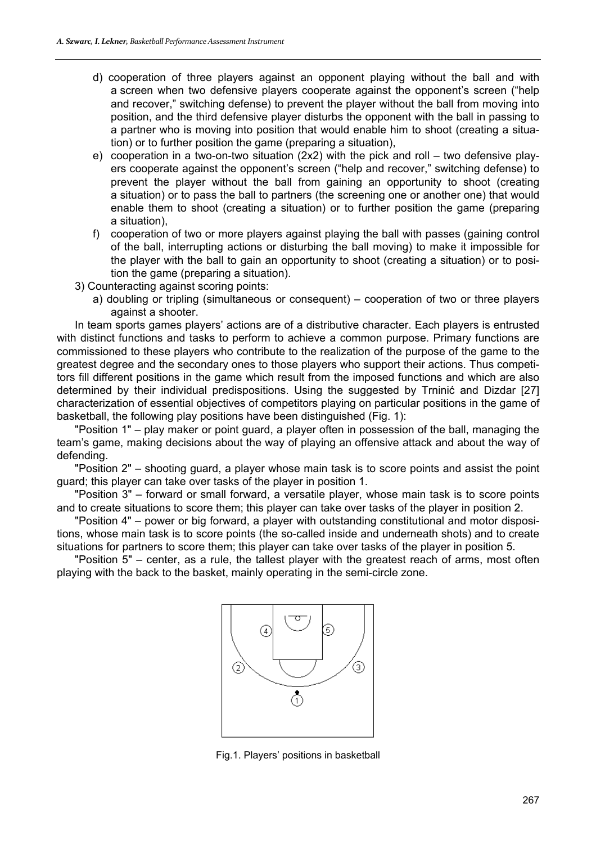- d) cooperation of three players against an opponent playing without the ball and with a screen when two defensive players cooperate against the opponent's screen ("help and recover," switching defense) to prevent the player without the ball from moving into position, and the third defensive player disturbs the opponent with the ball in passing to a partner who is moving into position that would enable him to shoot (creating a situation) or to further position the game (preparing a situation),
- e) cooperation in a two-on-two situation (2x2) with the pick and roll two defensive players cooperate against the opponent's screen ("help and recover," switching defense) to prevent the player without the ball from gaining an opportunity to shoot (creating a situation) or to pass the ball to partners (the screening one or another one) that would enable them to shoot (creating a situation) or to further position the game (preparing a situation),
- f) cooperation of two or more players against playing the ball with passes (gaining control of the ball, interrupting actions or disturbing the ball moving) to make it impossible for the player with the ball to gain an opportunity to shoot (creating a situation) or to position the game (preparing a situation).
- 3) Counteracting against scoring points:
	- a) doubling or tripling (simultaneous or consequent) cooperation of two or three players against a shooter.

In team sports games players' actions are of a distributive character. Each players is entrusted with distinct functions and tasks to perform to achieve a common purpose. Primary functions are commissioned to these players who contribute to the realization of the purpose of the game to the greatest degree and the secondary ones to those players who support their actions. Thus competitors fill different positions in the game which result from the imposed functions and which are also determined by their individual predispositions. Using the suggested by Trninić and Dizdar [27] characterization of essential objectives of competitors playing on particular positions in the game of basketball, the following play positions have been distinguished (Fig. 1):

"Position 1" – play maker or point guard, a player often in possession of the ball, managing the team's game, making decisions about the way of playing an offensive attack and about the way of defending.

"Position 2" – shooting guard, a player whose main task is to score points and assist the point guard; this player can take over tasks of the player in position 1.

"Position 3" – forward or small forward, a versatile player, whose main task is to score points and to create situations to score them; this player can take over tasks of the player in position 2.

"Position 4" – power or big forward, a player with outstanding constitutional and motor dispositions, whose main task is to score points (the so-called inside and underneath shots) and to create situations for partners to score them; this player can take over tasks of the player in position 5.

"Position 5" – center, as a rule, the tallest player with the greatest reach of arms, most often playing with the back to the basket, mainly operating in the semi-circle zone.



Fig.1. Players' positions in basketball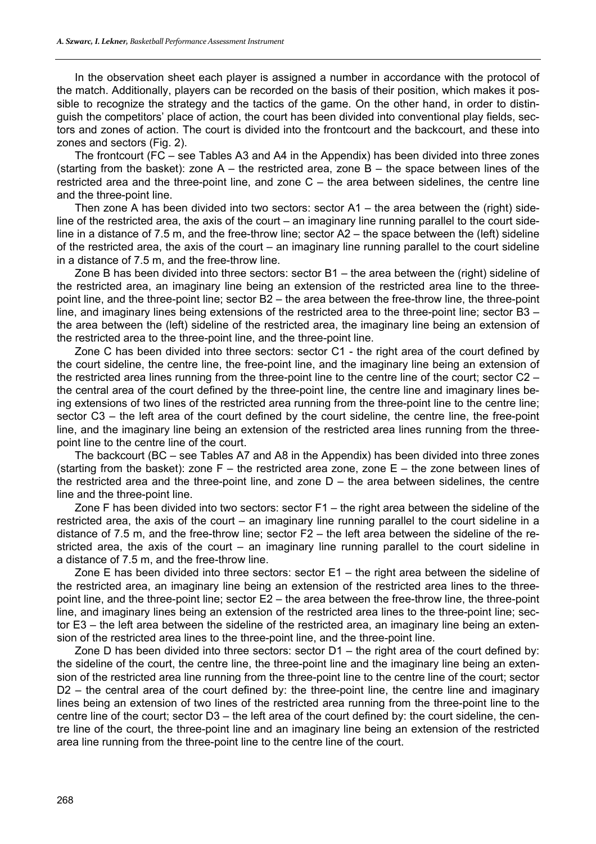In the observation sheet each player is assigned a number in accordance with the protocol of the match. Additionally, players can be recorded on the basis of their position, which makes it possible to recognize the strategy and the tactics of the game. On the other hand, in order to distinguish the competitors' place of action, the court has been divided into conventional play fields, sectors and zones of action. The court is divided into the frontcourt and the backcourt, and these into zones and sectors (Fig. 2).

The frontcourt (FC – see Tables A3 and A4 in the Appendix) has been divided into three zones (starting from the basket): zone  $A$  – the restricted area, zone  $B$  – the space between lines of the restricted area and the three-point line, and zone C – the area between sidelines, the centre line and the three-point line.

Then zone A has been divided into two sectors: sector A1 – the area between the (right) sideline of the restricted area, the axis of the court – an imaginary line running parallel to the court sideline in a distance of 7.5 m, and the free-throw line; sector A2 – the space between the (left) sideline of the restricted area, the axis of the court – an imaginary line running parallel to the court sideline in a distance of 7.5 m, and the free-throw line.

Zone B has been divided into three sectors: sector B1 – the area between the (right) sideline of the restricted area, an imaginary line being an extension of the restricted area line to the threepoint line, and the three-point line; sector B2 – the area between the free-throw line, the three-point line, and imaginary lines being extensions of the restricted area to the three-point line; sector B3 – the area between the (left) sideline of the restricted area, the imaginary line being an extension of the restricted area to the three-point line, and the three-point line.

Zone C has been divided into three sectors: sector C1 - the right area of the court defined by the court sideline, the centre line, the free-point line, and the imaginary line being an extension of the restricted area lines running from the three-point line to the centre line of the court; sector C2 – the central area of the court defined by the three-point line, the centre line and imaginary lines being extensions of two lines of the restricted area running from the three-point line to the centre line; sector C3 – the left area of the court defined by the court sideline, the centre line, the free-point line, and the imaginary line being an extension of the restricted area lines running from the threepoint line to the centre line of the court.

The backcourt (BC – see Tables A7 and A8 in the Appendix) has been divided into three zones (starting from the basket): zone  $F -$  the restricted area zone, zone  $E -$  the zone between lines of the restricted area and the three-point line, and zone  $D -$  the area between sidelines, the centre line and the three-point line.

Zone F has been divided into two sectors: sector F1 – the right area between the sideline of the restricted area, the axis of the court – an imaginary line running parallel to the court sideline in a distance of 7.5 m, and the free-throw line; sector F2 – the left area between the sideline of the restricted area, the axis of the court – an imaginary line running parallel to the court sideline in a distance of 7.5 m, and the free-throw line.

Zone E has been divided into three sectors: sector  $E1 -$  the right area between the sideline of the restricted area, an imaginary line being an extension of the restricted area lines to the threepoint line, and the three-point line; sector E2 – the area between the free-throw line, the three-point line, and imaginary lines being an extension of the restricted area lines to the three-point line; sector E3 – the left area between the sideline of the restricted area, an imaginary line being an extension of the restricted area lines to the three-point line, and the three-point line.

Zone D has been divided into three sectors: sector  $D1 -$  the right area of the court defined by: the sideline of the court, the centre line, the three-point line and the imaginary line being an extension of the restricted area line running from the three-point line to the centre line of the court; sector D2 – the central area of the court defined by: the three-point line, the centre line and imaginary lines being an extension of two lines of the restricted area running from the three-point line to the centre line of the court; sector D3 – the left area of the court defined by: the court sideline, the centre line of the court, the three-point line and an imaginary line being an extension of the restricted area line running from the three-point line to the centre line of the court.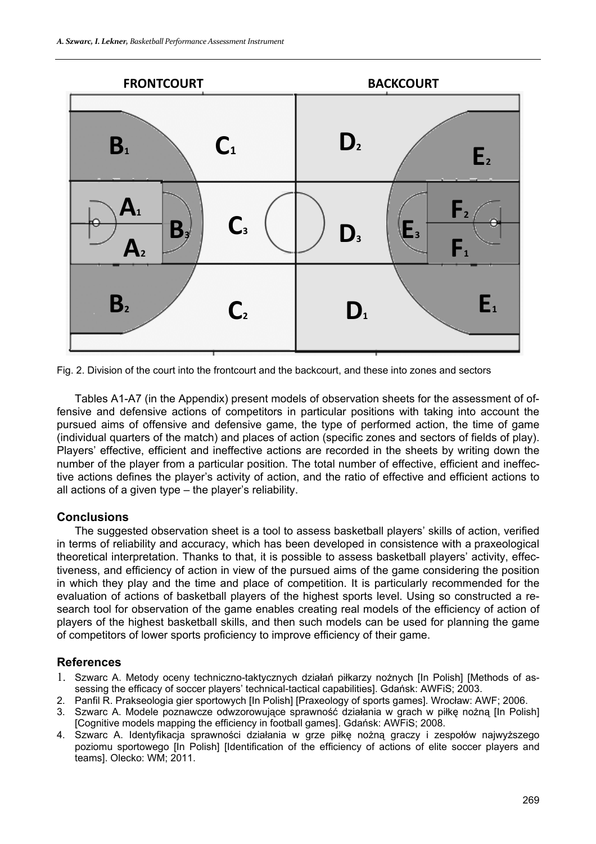

Fig. 2. Division of the court into the frontcourt and the backcourt, and these into zones and sectors

Tables A1-A7 (in the Appendix) present models of observation sheets for the assessment of offensive and defensive actions of competitors in particular positions with taking into account the pursued aims of offensive and defensive game, the type of performed action, the time of game (individual quarters of the match) and places of action (specific zones and sectors of fields of play). Players' effective, efficient and ineffective actions are recorded in the sheets by writing down the number of the player from a particular position. The total number of effective, efficient and ineffective actions defines the player's activity of action, and the ratio of effective and efficient actions to all actions of a given type – the player's reliability.

#### **Conclusions**

The suggested observation sheet is a tool to assess basketball players' skills of action, verified in terms of reliability and accuracy, which has been developed in consistence with a praxeological theoretical interpretation. Thanks to that, it is possible to assess basketball players' activity, effectiveness, and efficiency of action in view of the pursued aims of the game considering the position in which they play and the time and place of competition. It is particularly recommended for the evaluation of actions of basketball players of the highest sports level. Using so constructed a research tool for observation of the game enables creating real models of the efficiency of action of players of the highest basketball skills, and then such models can be used for planning the game of competitors of lower sports proficiency to improve efficiency of their game.

#### **References**

- 1. Szwarc A. Metody oceny techniczno-taktycznych działań piłkarzy nożnych [In Polish] [Methods of assessing the efficacy of soccer players' technical-tactical capabilities]. Gdańsk: AWFiS; 2003.
- 2. Panfil R. Prakseologia gier sportowych [In Polish] [Praxeology of sports games]. Wrocław: AWF; 2006.
- 3. Szwarc A. Modele poznawcze odwzorowujące sprawność działania w grach w piłkę nożną [In Polish] [Cognitive models mapping the efficiency in football games]. Gdańsk: AWFiS; 2008.
- 4. Szwarc A. Identyfikacja sprawności działania w grze piłkę nożną graczy i zespołów najwyższego poziomu sportowego [In Polish] [Identification of the efficiency of actions of elite soccer players and teams]. Olecko: WM; 2011.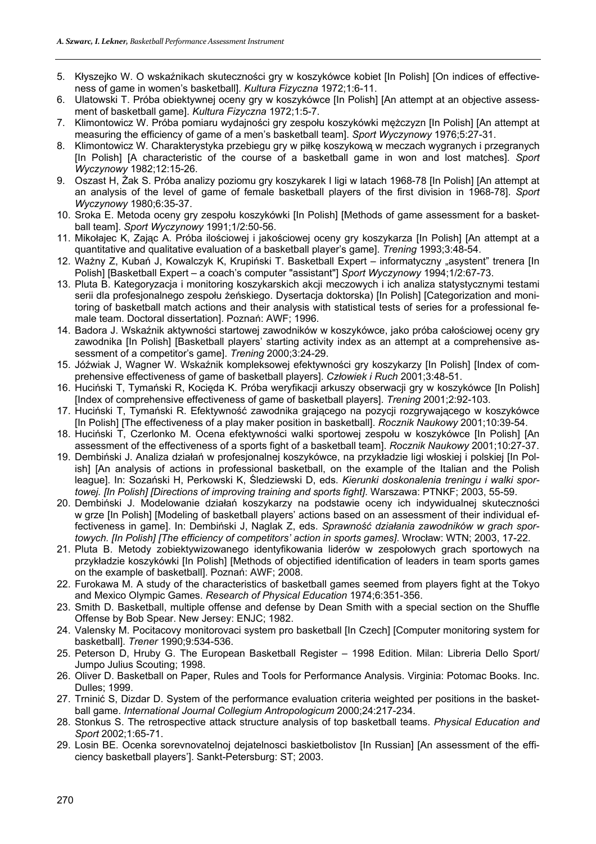- 5. Kłyszejko W. O wskaźnikach skuteczności gry w koszykówce kobiet [In Polish] [On indices of effectiveness of game in women's basketball]. *Kultura Fizyczna* 1972;1:6-11.
- 6. Ulatowski T. Próba obiektywnej oceny gry w koszykówce [In Polish] [An attempt at an objective assessment of basketball game]. *Kultura Fizyczna* 1972;1:5-7.
- 7. Klimontowicz W. Próba pomiaru wydajności gry zespołu koszykówki mężczyzn [In Polish] [An attempt at measuring the efficiency of game of a men's basketball team]. *Sport Wyczynowy* 1976;5:27-31.
- 8. Klimontowicz W. Charakterystyka przebiegu gry w piłkę koszykową w meczach wygranych i przegranych [In Polish] [A characteristic of the course of a basketball game in won and lost matches]. *Sport Wyczynowy* 1982;12:15-26.
- 9. Oszast H, Żak S. Próba analizy poziomu gry koszykarek I ligi w latach 1968-78 [In Polish] [An attempt at an analysis of the level of game of female basketball players of the first division in 1968-78]. *Sport Wyczynowy* 1980;6:35-37.
- 10. Sroka E. Metoda oceny gry zespołu koszykówki [In Polish] [Methods of game assessment for a basketball team]. *Sport Wyczynowy* 1991;1/2:50-56.
- 11. Mikołajec K, Zając A. Próba ilościowej i jakościowej oceny gry koszykarza [In Polish] [An attempt at a quantitative and qualitative evaluation of a basketball player's game]. *Trening* 1993;3:48-54.
- 12. Ważny Z, Kubań J, Kowalczyk K, Krupiński T. Basketball Expert informatyczny "asystent" trenera [In Polish] [Basketball Expert – a coach's computer "assistant"] *Sport Wyczynowy* 1994;1/2:67-73.
- 13. Pluta B. Kategoryzacja i monitoring koszykarskich akcji meczowych i ich analiza statystycznymi testami serii dla profesjonalnego zespołu żeńskiego. Dysertacja doktorska) [In Polish] [Categorization and monitoring of basketball match actions and their analysis with statistical tests of series for a professional female team. Doctoral dissertation]. Poznań: AWF; 1996.
- 14. Badora J. Wskaźnik aktywności startowej zawodników w koszykówce, jako próba całościowej oceny gry zawodnika [In Polish] [Basketball players' starting activity index as an attempt at a comprehensive assessment of a competitor's game]. *Trening* 2000;3:24-29.
- 15. Jóźwiak J, Wagner W. Wskaźnik kompleksowej efektywności gry koszykarzy [In Polish] [Index of comprehensive effectiveness of game of basketball players]. *Człowiek i Ruch* 2001;3:48-51.
- 16. Huciński T, Tymański R, Kocięda K. Próba weryfikacji arkuszy obserwacji gry w koszykówce [In Polish] [Index of comprehensive effectiveness of game of basketball players]. *Trening* 2001;2:92-103.
- 17. Huciński T, Tymański R. Efektywność zawodnika grającego na pozycji rozgrywającego w koszykówce [In Polish] [The effectiveness of a play maker position in basketball]. *Rocznik Naukowy* 2001;10:39-54.
- 18. Huciński T, Czerlonko M. Ocena efektywności walki sportowej zespołu w koszykówce [In Polish] [An assessment of the effectiveness of a sports fight of a basketball team]. *Rocznik Naukowy* 2001;10:27-37.
- 19. Dembiński J. Analiza działań w profesjonalnej koszykówce, na przykładzie ligi włoskiej i polskiej [In Polish] [An analysis of actions in professional basketball, on the example of the Italian and the Polish league]. In: Sozański H, Perkowski K, Śledziewski D, eds. *Kierunki doskonalenia treningu i walki sportowej. [In Polish] [Directions of improving training and sports fight]*. Warszawa: PTNKF; 2003, 55-59.
- 20. Dembiński J. Modelowanie działań koszykarzy na podstawie oceny ich indywidualnej skuteczności w grze [In Polish] [Modeling of basketball players' actions based on an assessment of their individual effectiveness in game]. In: Dembiński J, Naglak Z, eds. *Sprawność działania zawodników w grach sportowych. [In Polish] [The efficiency of competitors' action in sports games]*. Wrocław: WTN; 2003, 17-22.
- 21. Pluta B. Metody zobiektywizowanego identyfikowania liderów w zespołowych grach sportowych na przykładzie koszykówki [In Polish] [Methods of objectified identification of leaders in team sports games on the example of basketball]. Poznań: AWF; 2008.
- 22. Furokawa M. A study of the characteristics of basketball games seemed from players fight at the Tokyo and Mexico Olympic Games. *Research of Physical Education* 1974;6:351-356.
- 23. Smith D. Basketball, multiple offense and defense by Dean Smith with a special section on the Shuffle Offense by Bob Spear. New Jersey: ENJC; 1982.
- 24. Valensky M. Pocitacovy monitorovaci system pro basketball [In Czech] [Computer monitoring system for basketball]. *Trener* 1990;9:534-536.
- 25. Peterson D, Hruby G. The European Basketball Register 1998 Edition. Milan: Libreria Dello Sport/ Jumpo Julius Scouting; 1998.
- 26. Oliver D. Basketball on Paper, Rules and Tools for Performance Analysis. Virginia: Potomac Books. Inc. Dulles; 1999.
- 27. Trninić S, Dizdar D. System of the performance evaluation criteria weighted per positions in the basketball game. *International Journal Collegium Antropologicum* 2000;24:217-234.
- 28. Stonkus S. The retrospective attack structure analysis of top basketball teams. *Physical Education and Sport* 2002;1:65-71.
- 29. Losin BE. Ocenka sorevnovatelnoj dejatelnosci baskietbolistov [In Russian] [An assessment of the efficiency basketball players']. Sankt-Petersburg: ST; 2003.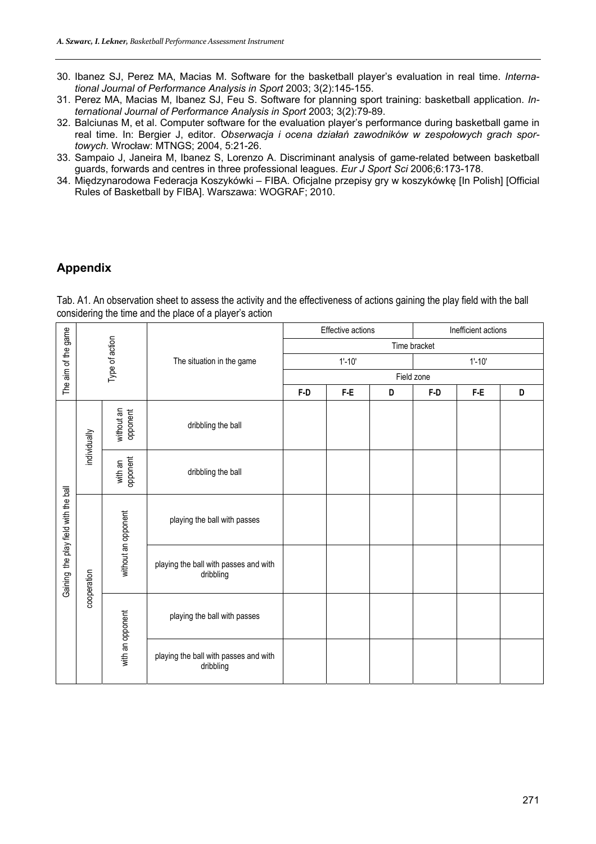- 30. Ibanez SJ, Perez MA, Macias M. Software for the basketball player's evaluation in real time. *International Journal of Performance Analysis in Sport* 2003; 3(2):145-155.
- 31. Perez MA, Macias M, Ibanez SJ, Feu S. Software for planning sport training: basketball application. *International Journal of Performance Analysis in Sport* 2003; 3(2):79-89.
- 32. Balciunas M, et al. Computer software for the evaluation player's performance during basketball game in real time. In: Bergier J, editor. *Obserwacja i ocena działań zawodników w zespołowych grach sportowych.* Wrocław: MTNGS; 2004, 5:21-26.
- 33. Sampaio J, Janeira M, Ibanez S, Lorenzo A. Discriminant analysis of game-related between basketball guards, forwards and centres in three professional leagues. *Eur J Sport Sci* 2006;6:173-178.
- 34. Międzynarodowa Federacja Koszykówki FIBA. Oficjalne przepisy gry w koszykówkę [In Polish] [Official Rules of Basketball by FIBA]. Warszawa: WOGRAF; 2010.

### **Appendix**

Tab. A1. An observation sheet to assess the activity and the effectiveness of actions gaining the play field with the ball considering the time and the place of a player's action

|                                      |              |                        |                                                    |     | Effective actions |            | Inefficient actions |     |   |  |  |  |  |  |
|--------------------------------------|--------------|------------------------|----------------------------------------------------|-----|-------------------|------------|---------------------|-----|---|--|--|--|--|--|
| The aim of the game                  |              | Type of action         |                                                    |     |                   |            | Time bracket        |     |   |  |  |  |  |  |
|                                      |              |                        | The situation in the game                          |     | $1' - 10'$        |            | $1' - 10'$          |     |   |  |  |  |  |  |
|                                      |              |                        |                                                    |     |                   | Field zone |                     |     |   |  |  |  |  |  |
|                                      |              |                        |                                                    | F-D | $F-E$             | D          | F-D                 | F-E | D |  |  |  |  |  |
|                                      | individually | without an<br>opponent | dribbling the ball                                 |     |                   |            |                     |     |   |  |  |  |  |  |
|                                      |              | opponent<br>with an    | dribbling the ball                                 |     |                   |            |                     |     |   |  |  |  |  |  |
| Gaining the play field with the ball |              | without an opponent    | playing the ball with passes                       |     |                   |            |                     |     |   |  |  |  |  |  |
|                                      | cooperation  |                        | playing the ball with passes and with<br>dribbling |     |                   |            |                     |     |   |  |  |  |  |  |
|                                      |              | with an opponent       | playing the ball with passes                       |     |                   |            |                     |     |   |  |  |  |  |  |
|                                      |              |                        | playing the ball with passes and with<br>dribbling |     |                   |            |                     |     |   |  |  |  |  |  |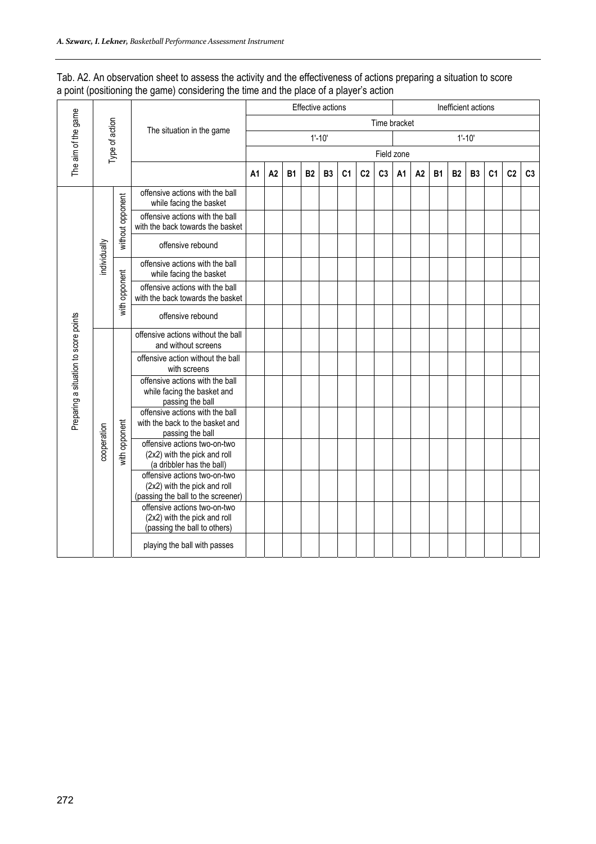| Tab. A2. An observation sheet to assess the activity and the effectiveness of actions preparing a situation to score |  |  |
|----------------------------------------------------------------------------------------------------------------------|--|--|
| a point (positioning the game) considering the time and the place of a player's action                               |  |  |

|                                       |                |                  |                                                                                                    |                |    |           | Effective actions |                |                |                |                |                |    |           |           | Inefficient actions |                |                |                |
|---------------------------------------|----------------|------------------|----------------------------------------------------------------------------------------------------|----------------|----|-----------|-------------------|----------------|----------------|----------------|----------------|----------------|----|-----------|-----------|---------------------|----------------|----------------|----------------|
| The aim of the game                   |                |                  | The situation in the game                                                                          |                |    |           |                   |                |                |                | Time bracket   |                |    |           |           |                     |                |                |                |
|                                       | Type of action |                  |                                                                                                    |                |    |           |                   | $1' - 10'$     |                |                |                |                |    |           |           | $1' - 10'$          |                |                |                |
|                                       |                |                  |                                                                                                    |                |    |           |                   |                |                |                |                | Field zone     |    |           |           |                     |                |                |                |
|                                       |                |                  |                                                                                                    | A <sub>1</sub> | A2 | <b>B1</b> | <b>B2</b>         | B <sub>3</sub> | C <sub>1</sub> | C <sub>2</sub> | C <sub>3</sub> | A <sub>1</sub> | A2 | <b>B1</b> | <b>B2</b> | B <sub>3</sub>      | C <sub>1</sub> | C <sub>2</sub> | C <sub>3</sub> |
|                                       |                |                  | offensive actions with the ball<br>while facing the basket                                         |                |    |           |                   |                |                |                |                |                |    |           |           |                     |                |                |                |
|                                       |                | without opponent | offensive actions with the ball<br>with the back towards the basket                                |                |    |           |                   |                |                |                |                |                |    |           |           |                     |                |                |                |
|                                       | individually   |                  | offensive rebound                                                                                  |                |    |           |                   |                |                |                |                |                |    |           |           |                     |                |                |                |
|                                       |                |                  | offensive actions with the ball<br>while facing the basket                                         |                |    |           |                   |                |                |                |                |                |    |           |           |                     |                |                |                |
|                                       |                | with opponent    | offensive actions with the ball<br>with the back towards the basket                                |                |    |           |                   |                |                |                |                |                |    |           |           |                     |                |                |                |
|                                       |                |                  | offensive rebound                                                                                  |                |    |           |                   |                |                |                |                |                |    |           |           |                     |                |                |                |
|                                       |                |                  | offensive actions without the ball<br>and without screens                                          |                |    |           |                   |                |                |                |                |                |    |           |           |                     |                |                |                |
|                                       |                |                  | offensive action without the ball<br>with screens                                                  |                |    |           |                   |                |                |                |                |                |    |           |           |                     |                |                |                |
| Preparing a situation to score points |                |                  | offensive actions with the ball<br>while facing the basket and<br>passing the ball                 |                |    |           |                   |                |                |                |                |                |    |           |           |                     |                |                |                |
|                                       |                |                  | offensive actions with the ball<br>with the back to the basket and<br>passing the ball             |                |    |           |                   |                |                |                |                |                |    |           |           |                     |                |                |                |
|                                       | cooperation    | with opponent    | offensive actions two-on-two<br>(2x2) with the pick and roll<br>(a dribbler has the ball)          |                |    |           |                   |                |                |                |                |                |    |           |           |                     |                |                |                |
|                                       |                |                  | offensive actions two-on-two<br>(2x2) with the pick and roll<br>(passing the ball to the screener) |                |    |           |                   |                |                |                |                |                |    |           |           |                     |                |                |                |
|                                       |                |                  | offensive actions two-on-two<br>(2x2) with the pick and roll<br>(passing the ball to others)       |                |    |           |                   |                |                |                |                |                |    |           |           |                     |                |                |                |
|                                       |                |                  | playing the ball with passes                                                                       |                |    |           |                   |                |                |                |                |                |    |           |           |                     |                |                |                |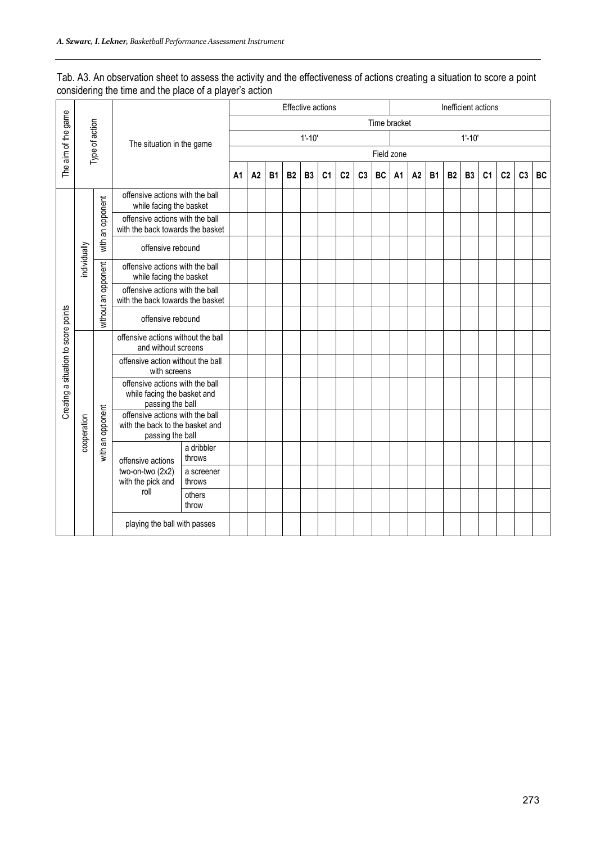|                                                         | Tab. A3. An observation sheet to assess the activity and the effectiveness of actions creating a situation to score a point |
|---------------------------------------------------------|-----------------------------------------------------------------------------------------------------------------------------|
| considering the time and the place of a player's action |                                                                                                                             |

|                                      |              |                     |                                                                                                                                       |                   | Effective actions |                | Inefficient actions |           |                |                |                |                |    |                |    |           |           |                |                |                |                |           |
|--------------------------------------|--------------|---------------------|---------------------------------------------------------------------------------------------------------------------------------------|-------------------|-------------------|----------------|---------------------|-----------|----------------|----------------|----------------|----------------|----|----------------|----|-----------|-----------|----------------|----------------|----------------|----------------|-----------|
| The aim of the game                  |              |                     |                                                                                                                                       |                   |                   |                |                     |           |                |                |                |                |    | Time bracket   |    |           |           |                |                |                |                |           |
|                                      |              | Type of action      | The situation in the game                                                                                                             |                   |                   |                |                     |           | $1' - 10'$     |                |                |                |    |                |    |           |           | $1' - 10'$     |                |                |                |           |
|                                      |              |                     |                                                                                                                                       |                   |                   |                |                     |           |                |                |                |                |    | Field zone     |    |           |           |                |                |                |                |           |
|                                      |              |                     |                                                                                                                                       |                   | A <sub>1</sub>    | A <sub>2</sub> | <b>B1</b>           | <b>B2</b> | B <sub>3</sub> | C <sub>1</sub> | C <sub>2</sub> | C <sub>3</sub> | BC | A <sub>1</sub> | A2 | <b>B1</b> | <b>B2</b> | B <sub>3</sub> | C <sub>1</sub> | C <sub>2</sub> | C <sub>3</sub> | <b>BC</b> |
|                                      |              |                     | offensive actions with the ball<br>while facing the basket<br>offensive actions with the ball<br>with the back towards the basket     |                   |                   |                |                     |           |                |                |                |                |    |                |    |           |           |                |                |                |                |           |
|                                      |              | with an opponent    |                                                                                                                                       |                   |                   |                |                     |           |                |                |                |                |    |                |    |           |           |                |                |                |                |           |
|                                      | individually |                     | offensive rebound                                                                                                                     |                   |                   |                |                     |           |                |                |                |                |    |                |    |           |           |                |                |                |                |           |
|                                      |              |                     | offensive actions with the ball<br>while facing the basket                                                                            |                   |                   |                |                     |           |                |                |                |                |    |                |    |           |           |                |                |                |                |           |
|                                      |              | without an opponent | offensive actions with the ball<br>with the back towards the basket                                                                   |                   |                   |                |                     |           |                |                |                |                |    |                |    |           |           |                |                |                |                |           |
|                                      |              |                     |                                                                                                                                       | offensive rebound |                   |                |                     |           |                |                |                |                |    |                |    |           |           |                |                |                |                |           |
|                                      |              |                     | offensive actions without the ball<br>and without screens                                                                             |                   |                   |                |                     |           |                |                |                |                |    |                |    |           |           |                |                |                |                |           |
|                                      |              |                     | offensive action without the ball<br>with screens                                                                                     |                   |                   |                |                     |           |                |                |                |                |    |                |    |           |           |                |                |                |                |           |
| Creating a situation to score points |              |                     | offensive actions with the ball<br>while facing the basket and                                                                        |                   |                   |                |                     |           |                |                |                |                |    |                |    |           |           |                |                |                |                |           |
|                                      | cooperation  | with an opponent    | passing the ball<br>offensive actions with the ball<br>with the back to the basket and<br>passing the ball                            |                   |                   |                |                     |           |                |                |                |                |    |                |    |           |           |                |                |                |                |           |
|                                      |              |                     | a dribbler<br>throws<br>offensive actions<br>two-on-two (2x2)<br>a screener<br>with the pick and<br>throws<br>roll<br>others<br>throw |                   |                   |                |                     |           |                |                |                |                |    |                |    |           |           |                |                |                |                |           |
|                                      |              |                     |                                                                                                                                       |                   |                   |                |                     |           |                |                |                |                |    |                |    |           |           |                |                |                |                |           |
|                                      |              |                     |                                                                                                                                       |                   |                   |                |                     |           |                |                |                |                |    |                |    |           |           |                |                |                |                |           |
|                                      |              |                     | playing the ball with passes                                                                                                          |                   |                   |                |                     |           |                |                |                |                |    |                |    |           |           |                |                |                |                |           |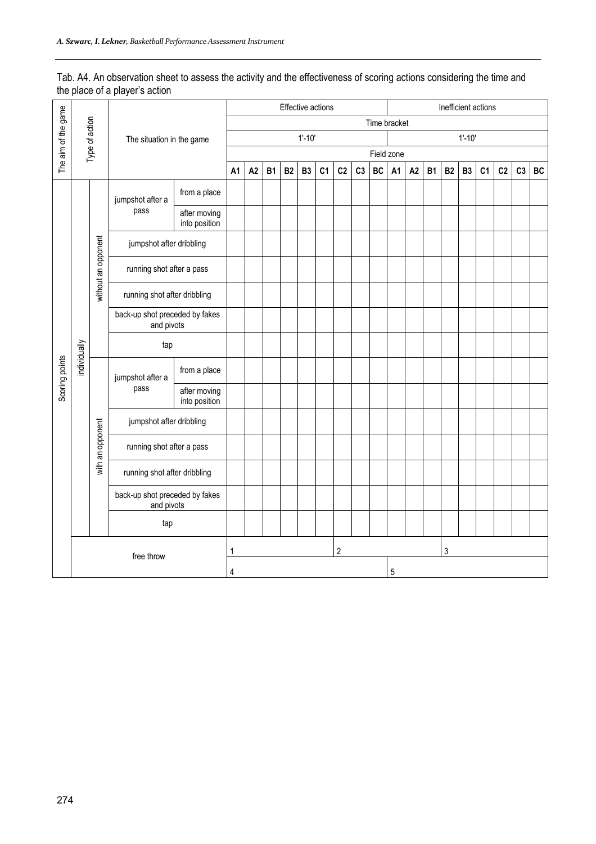#### Tab. A4. An observation sheet to assess the activity and the effectiveness of scoring actions considering the time and the place of a player's action

|                     |              |                     |                                              |                               |                |    |           | Effective actions |                |    |                |                |              |           |    |           |           | Inefficient actions |    |    |                |    |
|---------------------|--------------|---------------------|----------------------------------------------|-------------------------------|----------------|----|-----------|-------------------|----------------|----|----------------|----------------|--------------|-----------|----|-----------|-----------|---------------------|----|----|----------------|----|
| The aim of the game |              | Type of action      |                                              |                               |                |    |           |                   |                |    |                |                | Time bracket |           |    |           |           |                     |    |    |                |    |
|                     |              |                     | The situation in the game                    |                               |                |    |           |                   | $1' - 10'$     |    |                |                |              |           |    |           |           | $1' - 10'$          |    |    |                |    |
|                     |              |                     |                                              |                               |                |    |           |                   |                |    |                |                | Field zone   |           |    |           |           |                     |    |    |                |    |
|                     |              |                     |                                              |                               | A <sub>1</sub> | A2 | <b>B1</b> | <b>B2</b>         | B <sub>3</sub> | C1 | C <sub>2</sub> | C <sub>3</sub> | BC           | <b>A1</b> | A2 | <b>B1</b> | <b>B2</b> | <b>B3</b>           | C1 | C2 | C <sub>3</sub> | BC |
|                     |              |                     | from a place<br>jumpshot after a             |                               |                |    |           |                   |                |    |                |                |              |           |    |           |           |                     |    |    |                |    |
|                     |              |                     | pass<br>after moving<br>into position        |                               |                |    |           |                   |                |    |                |                |              |           |    |           |           |                     |    |    |                |    |
|                     |              |                     | jumpshot after dribbling                     |                               |                |    |           |                   |                |    |                |                |              |           |    |           |           |                     |    |    |                |    |
|                     |              | without an opponent | running shot after a pass                    |                               |                |    |           |                   |                |    |                |                |              |           |    |           |           |                     |    |    |                |    |
|                     |              |                     | running shot after dribbling                 |                               |                |    |           |                   |                |    |                |                |              |           |    |           |           |                     |    |    |                |    |
|                     |              |                     | back-up shot preceded by fakes<br>and pivots |                               |                |    |           |                   |                |    |                |                |              |           |    |           |           |                     |    |    |                |    |
|                     | individually |                     | tap                                          |                               |                |    |           |                   |                |    |                |                |              |           |    |           |           |                     |    |    |                |    |
| Scoring points      |              |                     | jumpshot after a                             | from a place                  |                |    |           |                   |                |    |                |                |              |           |    |           |           |                     |    |    |                |    |
|                     |              |                     | pass                                         | after moving<br>into position |                |    |           |                   |                |    |                |                |              |           |    |           |           |                     |    |    |                |    |
|                     |              |                     | jumpshot after dribbling                     |                               |                |    |           |                   |                |    |                |                |              |           |    |           |           |                     |    |    |                |    |
|                     |              | with an opponent    | running shot after a pass                    |                               |                |    |           |                   |                |    |                |                |              |           |    |           |           |                     |    |    |                |    |
|                     |              |                     | running shot after dribbling                 |                               |                |    |           |                   |                |    |                |                |              |           |    |           |           |                     |    |    |                |    |
|                     |              |                     | back-up shot preceded by fakes<br>and pivots |                               |                |    |           |                   |                |    |                |                |              |           |    |           |           |                     |    |    |                |    |
|                     |              |                     | tap                                          |                               |                |    |           |                   |                |    |                |                |              |           |    |           |           |                     |    |    |                |    |
|                     |              |                     |                                              | $\overline{2}$<br>1           |                |    |           |                   |                |    | 3              |                |              |           |    |           |           |                     |    |    |                |    |
|                     | free throw   |                     |                                              | $\sqrt{5}$<br>4               |                |    |           |                   |                |    |                |                |              |           |    |           |           |                     |    |    |                |    |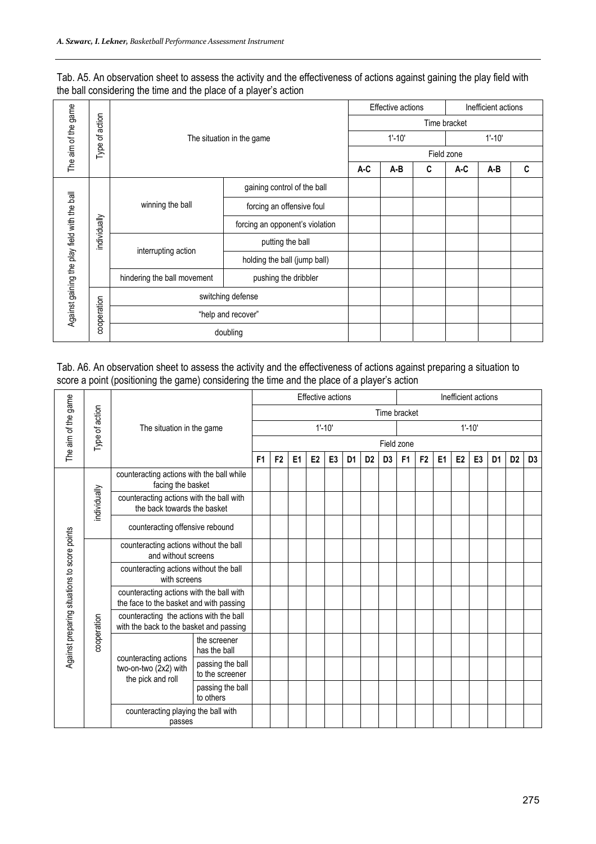| Tab. A5. An observation sheet to assess the activity and the effectiveness of actions against gaining the play field with |
|---------------------------------------------------------------------------------------------------------------------------|
| the ball considering the time and the place of a player's action                                                          |

|                                              |              |                             |                                 | Effective actions<br>Inefficient actions |            |  |              |     |   |  |  |  |  |
|----------------------------------------------|--------------|-----------------------------|---------------------------------|------------------------------------------|------------|--|--------------|-----|---|--|--|--|--|
| The aim of the game                          | action       |                             |                                 |                                          |            |  | Time bracket |     |   |  |  |  |  |
|                                              | ፟፟፟፟፟፟፟      |                             | The situation in the game       |                                          | $1' - 10'$ |  | $1' - 10'$   |     |   |  |  |  |  |
|                                              | Type         |                             |                                 | Field zone                               |            |  |              |     |   |  |  |  |  |
|                                              |              |                             |                                 | A-C<br>A-B<br>A-C<br>C                   |            |  |              |     | C |  |  |  |  |
| Against gaining the play field with the ball |              |                             | gaining control of the ball     |                                          |            |  |              |     |   |  |  |  |  |
|                                              |              | winning the ball            | forcing an offensive foul       |                                          |            |  |              |     |   |  |  |  |  |
|                                              | individually |                             | forcing an opponent's violation |                                          |            |  |              |     |   |  |  |  |  |
|                                              |              | interrupting action         | putting the ball                |                                          |            |  |              |     |   |  |  |  |  |
|                                              |              |                             | holding the ball (jump ball)    |                                          |            |  |              |     |   |  |  |  |  |
|                                              |              | hindering the ball movement | pushing the dribbler            |                                          |            |  |              |     |   |  |  |  |  |
|                                              |              |                             | switching defense               |                                          |            |  |              | A-B |   |  |  |  |  |
|                                              | cooperation  |                             | "help and recover"              |                                          |            |  |              |     |   |  |  |  |  |
|                                              |              |                             | doubling                        |                                          |            |  |              |     |   |  |  |  |  |

Tab. A6. An observation sheet to assess the activity and the effectiveness of actions against preparing a situation to score a point (positioning the game) considering the time and the place of a player's action

|                                              |                |                                                                                     |                                     |  |                          | <b>Effective actions</b> |                |                |                |                | Inefficient actions |                |                |                |                |                |                |                |                |  |  |  |  |  |  |  |  |
|----------------------------------------------|----------------|-------------------------------------------------------------------------------------|-------------------------------------|--|--------------------------|--------------------------|----------------|----------------|----------------|----------------|---------------------|----------------|----------------|----------------|----------------|----------------|----------------|----------------|----------------|--|--|--|--|--|--|--|--|
| The aim of the game                          | Type of action |                                                                                     |                                     |  |                          |                          |                |                |                | Time bracket   |                     |                |                |                |                |                |                |                |                |  |  |  |  |  |  |  |  |
|                                              |                | The situation in the game                                                           |                                     |  | $1' - 10'$<br>$1' - 10'$ |                          |                |                |                |                |                     |                |                |                |                |                |                |                |                |  |  |  |  |  |  |  |  |
|                                              |                |                                                                                     |                                     |  |                          |                          |                |                |                |                | Field zone          |                |                |                |                |                |                |                | D <sub>3</sub> |  |  |  |  |  |  |  |  |
|                                              |                |                                                                                     |                                     |  | F <sub>2</sub>           | E <sub>1</sub>           | E <sub>2</sub> | E <sub>3</sub> | D <sub>1</sub> | D <sub>2</sub> | D <sub>3</sub>      | F <sub>1</sub> | F <sub>2</sub> | E <sub>1</sub> | E <sub>2</sub> | E <sub>3</sub> | D <sub>1</sub> | D <sub>2</sub> |                |  |  |  |  |  |  |  |  |
|                                              |                | counteracting actions with the ball while<br>facing the basket                      |                                     |  |                          |                          |                |                |                |                |                     |                |                |                |                |                |                |                |                |  |  |  |  |  |  |  |  |
|                                              | individually   | counteracting actions with the ball with<br>the back towards the basket             |                                     |  |                          |                          |                |                |                |                |                     |                |                |                |                |                |                |                |                |  |  |  |  |  |  |  |  |
|                                              |                | counteracting offensive rebound                                                     |                                     |  |                          |                          |                |                |                |                |                     |                |                |                |                |                |                |                |                |  |  |  |  |  |  |  |  |
|                                              |                | counteracting actions without the ball<br>and without screens                       |                                     |  |                          |                          |                |                |                |                |                     |                |                |                |                |                |                |                |                |  |  |  |  |  |  |  |  |
|                                              |                | counteracting actions without the ball<br>with screens                              |                                     |  |                          |                          |                |                |                |                |                     |                |                |                |                |                |                |                |                |  |  |  |  |  |  |  |  |
|                                              |                | counteracting actions with the ball with<br>the face to the basket and with passing |                                     |  |                          |                          |                |                |                |                |                     |                |                |                |                |                |                |                |                |  |  |  |  |  |  |  |  |
|                                              | cooperation    | counteracting the actions with the ball<br>with the back to the basket and passing  |                                     |  |                          |                          |                |                |                |                |                     |                |                |                |                |                |                |                |                |  |  |  |  |  |  |  |  |
| Against preparing situations to score points |                |                                                                                     | the screener<br>has the ball        |  |                          |                          |                |                |                |                |                     |                |                |                |                |                |                |                |                |  |  |  |  |  |  |  |  |
|                                              |                | counteracting actions<br>two-on-two (2x2) with<br>the pick and roll                 | passing the ball<br>to the screener |  |                          |                          |                |                |                |                |                     |                |                |                |                |                |                |                |                |  |  |  |  |  |  |  |  |
|                                              |                |                                                                                     | passing the ball<br>to others       |  |                          |                          |                |                |                |                |                     |                |                |                |                |                |                |                |                |  |  |  |  |  |  |  |  |
|                                              |                | counteracting playing the ball with<br>passes                                       |                                     |  |                          |                          |                |                |                |                |                     |                |                |                |                |                |                |                |                |  |  |  |  |  |  |  |  |